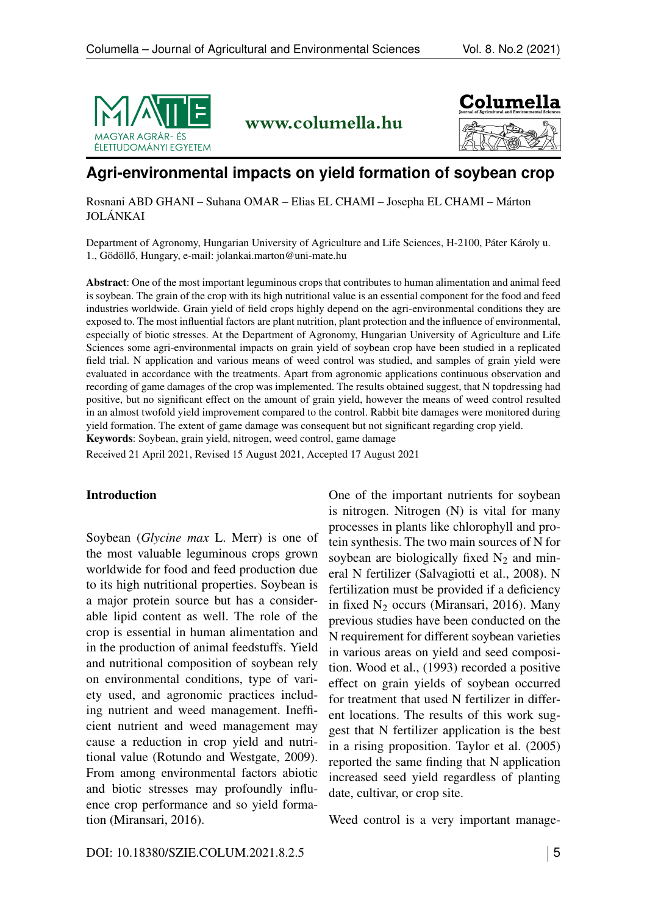

www.columella.hu



# **Agri-environmental impacts on yield formation of soybean crop**

Rosnani ABD GHANI – Suhana OMAR – Elias EL CHAMI – Josepha EL CHAMI – Márton JOLÁNKAI

Department of Agronomy, Hungarian University of Agriculture and Life Sciences, H-2100, Páter Károly u. 1., Gödöllő, Hungary, e-mail:<jolankai.marton@uni-mate.hu>

Abstract: One of the most important leguminous crops that contributes to human alimentation and animal feed is soybean. The grain of the crop with its high nutritional value is an essential component for the food and feed industries worldwide. Grain yield of field crops highly depend on the agri-environmental conditions they are exposed to. The most influential factors are plant nutrition, plant protection and the influence of environmental, especially of biotic stresses. At the Department of Agronomy, Hungarian University of Agriculture and Life Sciences some agri-environmental impacts on grain yield of soybean crop have been studied in a replicated field trial. N application and various means of weed control was studied, and samples of grain yield were evaluated in accordance with the treatments. Apart from agronomic applications continuous observation and recording of game damages of the crop was implemented. The results obtained suggest, that N topdressing had positive, but no significant effect on the amount of grain yield, however the means of weed control resulted in an almost twofold yield improvement compared to the control. Rabbit bite damages were monitored during yield formation. The extent of game damage was consequent but not significant regarding crop yield. Keywords: Soybean, grain yield, nitrogen, weed control, game damage

Received 21 April 2021, Revised 15 August 2021, Accepted 17 August 2021

### Introduction

Soybean (*Glycine max* L. Merr) is one of the most valuable leguminous crops grown worldwide for food and feed production due to its high nutritional properties. Soybean is a major protein source but has a considerable lipid content as well. The role of the crop is essential in human alimentation and in the production of animal feedstuffs. Yield and nutritional composition of soybean rely on environmental conditions, type of variety used, and agronomic practices including nutrient and weed management. Inefficient nutrient and weed management may cause a reduction in crop yield and nutritional value (Rotundo and Westgate, 2009). From among environmental factors abiotic and biotic stresses may profoundly influence crop performance and so yield formation (Miransari, 2016).

One of the important nutrients for soybean is nitrogen. Nitrogen (N) is vital for many processes in plants like chlorophyll and protein synthesis. The two main sources of N for soybean are biologically fixed  $N_2$  and mineral N fertilizer (Salvagiotti et al., 2008). N fertilization must be provided if a deficiency in fixed  $N_2$  occurs (Miransari, 2016). Many previous studies have been conducted on the N requirement for different soybean varieties in various areas on yield and seed composition. Wood et al., (1993) recorded a positive effect on grain yields of soybean occurred for treatment that used N fertilizer in different locations. The results of this work suggest that N fertilizer application is the best in a rising proposition. Taylor et al. (2005) reported the same finding that N application increased seed yield regardless of planting date, cultivar, or crop site.

Weed control is a very important manage-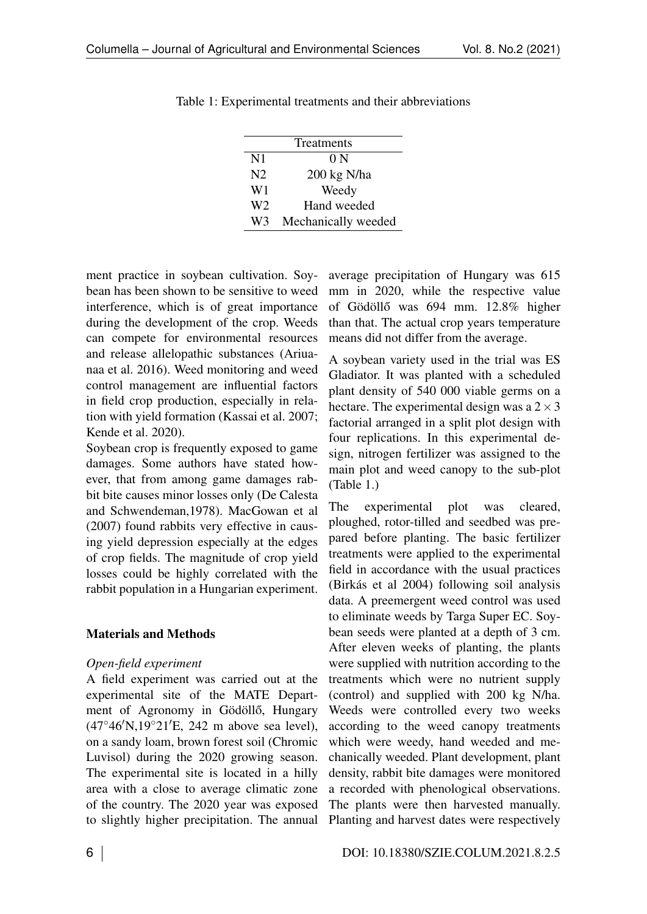| Treatments     |                     |  |  |  |
|----------------|---------------------|--|--|--|
| $\mathbf{N}$ 1 | 0 N                 |  |  |  |
| N <sub>2</sub> | 200 kg N/ha         |  |  |  |
| W1             | Weedy               |  |  |  |
| W2             | Hand weeded         |  |  |  |
| W3             | Mechanically weeded |  |  |  |

<span id="page-1-0"></span>Table 1: Experimental treatments and their abbreviations

ment practice in soybean cultivation. Soybean has been shown to be sensitive to weed interference, which is of great importance during the development of the crop. Weeds can compete for environmental resources and release allelopathic substances (Ariuanaa et al. 2016). Weed monitoring and weed control management are influential factors in field crop production, especially in relation with yield formation (Kassai et al. 2007; Kende et al. 2020).

Soybean crop is frequently exposed to game damages. Some authors have stated however, that from among game damages rabbit bite causes minor losses only (De Calesta and Schwendeman,1978). MacGowan et al (2007) found rabbits very effective in causing yield depression especially at the edges of crop fields. The magnitude of crop yield losses could be highly correlated with the rabbit population in a Hungarian experiment.

## Materials and Methods

### *Open-field experiment*

A field experiment was carried out at the experimental site of the MATE Department of Agronomy in Gödöllő, Hungary  $(47^{\circ}46'N, 19^{\circ}21'E, 242 m$  above sea level), on a sandy loam, brown forest soil (Chromic Luvisol) during the 2020 growing season. The experimental site is located in a hilly area with a close to average climatic zone of the country. The 2020 year was exposed to slightly higher precipitation. The annual

average precipitation of Hungary was 615 mm in 2020, while the respective value of Gödöllő was  $694$  mm.  $12.8\%$  higher than that. The actual crop years temperature means did not differ from the average.

A soybean variety used in the trial was ES Gladiator. It was planted with a scheduled plant density of 540 000 viable germs on a hectare. The experimental design was a  $2 \times 3$ factorial arranged in a split plot design with four replications. In this experimental design, nitrogen fertilizer was assigned to the main plot and weed canopy to the sub-plot (Table [1.](#page-1-0))

The experimental plot was cleared, ploughed, rotor-tilled and seedbed was prepared before planting. The basic fertilizer treatments were applied to the experimental field in accordance with the usual practices (Birkás et al 2004) following soil analysis data. A preemergent weed control was used to eliminate weeds by Targa Super EC. Soybean seeds were planted at a depth of 3 cm. After eleven weeks of planting, the plants were supplied with nutrition according to the treatments which were no nutrient supply (control) and supplied with 200 kg N/ha. Weeds were controlled every two weeks according to the weed canopy treatments which were weedy, hand weeded and mechanically weeded. Plant development, plant density, rabbit bite damages were monitored a recorded with phenological observations. The plants were then harvested manually. Planting and harvest dates were respectively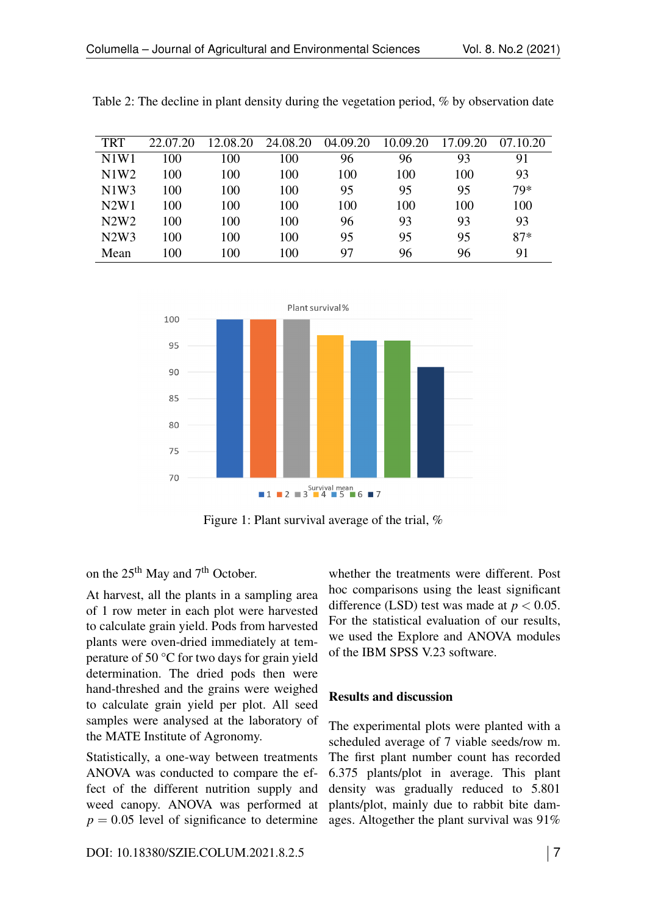| <b>TRT</b> | 22.07.20 | 12.08.20 | 24.08.20 | 04.09.20 | 10.09.20 | 17.09.20 | 07.10.20 |
|------------|----------|----------|----------|----------|----------|----------|----------|
| N1W1       | 100      | 100      | 100      | 96       | 96       | 93       | 91       |
| N1W2       | 100      | 100      | 100      | 100      | 100      | 100      | 93       |
| N1W3       | 100      | 100      | 100      | 95       | 95       | 95       | 79*      |
| N2W1       | 100      | 100      | 100      | 100      | 100      | 100      | 100      |
| N2W2       | 100      | 100      | 100      | 96       | 93       | 93       | 93       |
| N2W3       | 100      | 100      | 100      | 95       | 95       | 95       | $87*$    |
| Mean       | 100      | 100      | 100      | 97       | 96       | 96       | 91       |

<span id="page-2-0"></span>Table 2: The decline in plant density during the vegetation period, % by observation date

<span id="page-2-1"></span>

Figure 1: Plant survival average of the trial, %

on the 25<sup>th</sup> May and 7<sup>th</sup> October.

At harvest, all the plants in a sampling area of 1 row meter in each plot were harvested to calculate grain yield. Pods from harvested plants were oven-dried immediately at temperature of 50 °C for two days for grain yield determination. The dried pods then were hand-threshed and the grains were weighed to calculate grain yield per plot. All seed samples were analysed at the laboratory of the MATE Institute of Agronomy.

Statistically, a one-way between treatments ANOVA was conducted to compare the effect of the different nutrition supply and weed canopy. ANOVA was performed at  $p = 0.05$  level of significance to determine

whether the treatments were different. Post hoc comparisons using the least significant difference (LSD) test was made at  $p < 0.05$ . For the statistical evaluation of our results, we used the Explore and ANOVA modules of the IBM SPSS V.23 software.

# Results and discussion

The experimental plots were planted with a scheduled average of 7 viable seeds/row m. The first plant number count has recorded 6.375 plants/plot in average. This plant density was gradually reduced to 5.801 plants/plot, mainly due to rabbit bite damages. Altogether the plant survival was 91%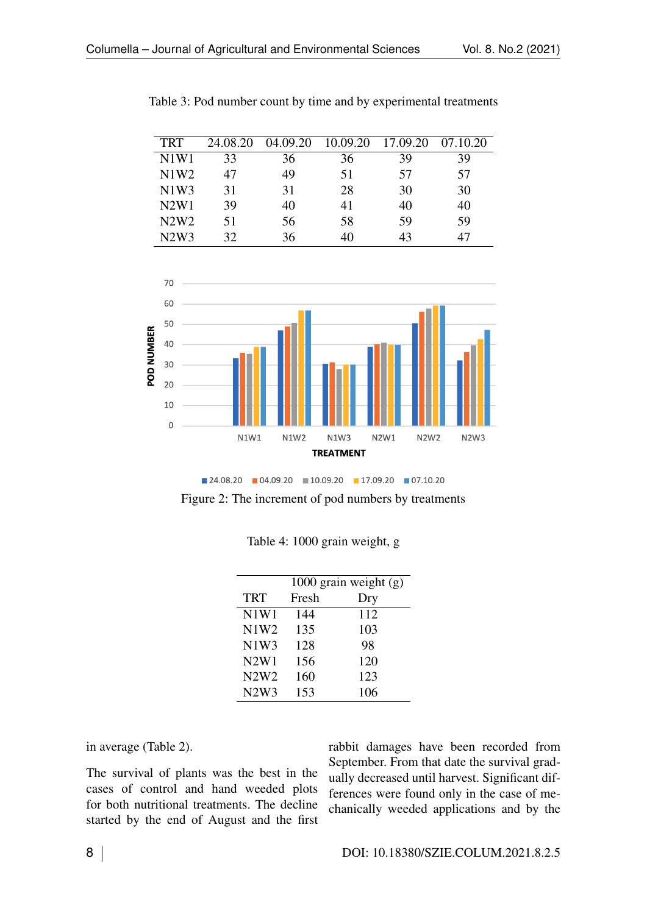| <b>TRT</b> | 24.08.20 | 04.09.20 | 10.09.20 | 17.09.20 | 07.10.20 |
|------------|----------|----------|----------|----------|----------|
| N1W1       | 33       | 36       | 36       | 39       | 39       |
| N1W2       | 47       | 49       | 51       | 57       | 57       |
| N1W3       | 31       | 31       | 28       | 30       | 30       |
| N2W1       | 39       | 40       | 41       | 40       | 40       |
| N2W2       | 51       | 56       | 58       | 59       | 59       |
| N2W3       | 32       | 36       |          | 43       |          |

<span id="page-3-0"></span>Table 3: Pod number count by time and by experimental treatments

<span id="page-3-1"></span>

 $\blacksquare$  24.08.20  $\blacksquare$  04.09.20  $\blacksquare$  10.09.20  $\blacksquare$  17.09.20  $\blacksquare$  07.10.20

<span id="page-3-2"></span>Figure 2: The increment of pod numbers by treatments

|            | 1000 grain weight $(g)$ |     |  |  |
|------------|-------------------------|-----|--|--|
| <b>TRT</b> | Fresh                   | Dry |  |  |
| N1W1       | 144                     | 112 |  |  |
| N1W2       | 135                     | 103 |  |  |
| N1W3       | 128                     | 98  |  |  |
| N2W1       | 156                     | 120 |  |  |
| N2W2       | 160                     | 123 |  |  |
| N2W3       | 153                     | 106 |  |  |

| Table 4: 1000 grain weight, g |  |  |  |  |
|-------------------------------|--|--|--|--|
|-------------------------------|--|--|--|--|

in average (Table [2\)](#page-2-0).

The survival of plants was the best in the cases of control and hand weeded plots for both nutritional treatments. The decline started by the end of August and the first

rabbit damages have been recorded from September. From that date the survival gradually decreased until harvest. Significant differences were found only in the case of mechanically weeded applications and by the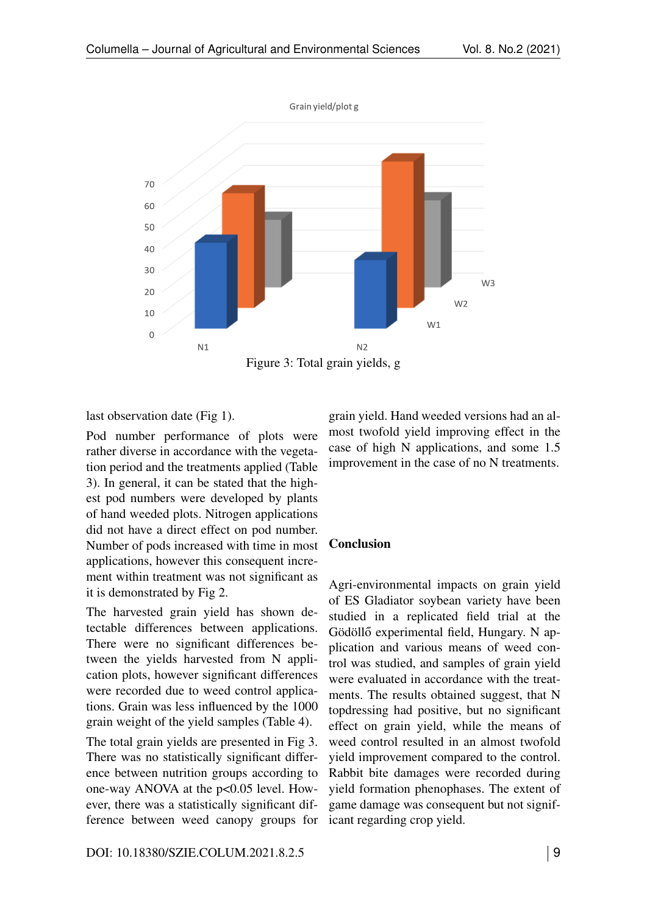<span id="page-4-0"></span>

last observation date (Fig [1\)](#page-2-1).

Pod number performance of plots were rather diverse in accordance with the vegetation period and the treatments applied (Table [3\)](#page-3-0). In general, it can be stated that the highest pod numbers were developed by plants of hand weeded plots. Nitrogen applications did not have a direct effect on pod number. Number of pods increased with time in most applications, however this consequent increment within treatment was not significant as it is demonstrated by Fig [2.](#page-3-1)

The harvested grain yield has shown detectable differences between applications. There were no significant differences between the yields harvested from N application plots, however significant differences were recorded due to weed control applications. Grain was less influenced by the 1000 grain weight of the yield samples (Table [4\)](#page-3-2).

The total grain yields are presented in Fig [3.](#page-4-0) There was no statistically significant difference between nutrition groups according to one-way ANOVA at the p<0.05 level. However, there was a statistically significant difference between weed canopy groups for grain yield. Hand weeded versions had an almost twofold yield improving effect in the case of high N applications, and some 1.5 improvement in the case of no N treatments.

### Conclusion

Agri-environmental impacts on grain yield of ES Gladiator soybean variety have been studied in a replicated field trial at the Gödöllő experimental field, Hungary. N application and various means of weed control was studied, and samples of grain yield were evaluated in accordance with the treatments. The results obtained suggest, that N topdressing had positive, but no significant effect on grain yield, while the means of weed control resulted in an almost twofold yield improvement compared to the control. Rabbit bite damages were recorded during yield formation phenophases. The extent of game damage was consequent but not significant regarding crop yield.